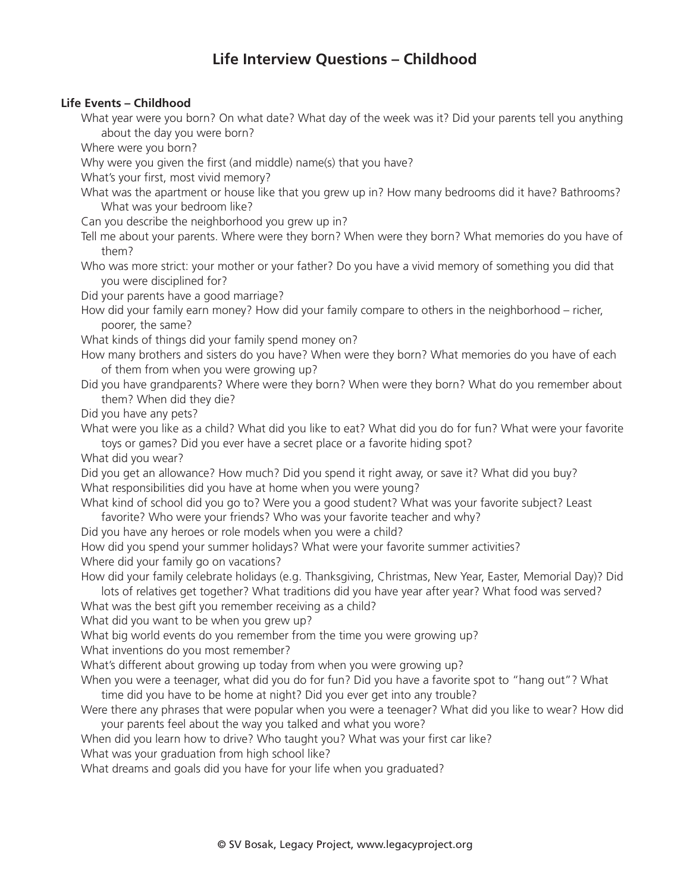### **Life Interview Questions – Childhood**

#### **Life Events – Childhood**

What year were you born? On what date? What day of the week was it? Did your parents tell you anything about the day you were born?

Where were you born?

Why were you given the first (and middle) name(s) that you have?

What's your first, most vivid memory?

What was the apartment or house like that you grew up in? How many bedrooms did it have? Bathrooms? What was your bedroom like?

Can you describe the neighborhood you grew up in?

Tell me about your parents. Where were they born? When were they born? What memories do you have of them?

Who was more strict: your mother or your father? Do you have a vivid memory of something you did that you were disciplined for?

Did your parents have a good marriage?

How did your family earn money? How did your family compare to others in the neighborhood – richer, poorer, the same?

What kinds of things did your family spend money on?

How many brothers and sisters do you have? When were they born? What memories do you have of each of them from when you were growing up?

Did you have grandparents? Where were they born? When were they born? What do you remember about them? When did they die?

Did you have any pets?

What were you like as a child? What did you like to eat? What did you do for fun? What were your favorite toys or games? Did you ever have a secret place or a favorite hiding spot?

What did you wear?

Did you get an allowance? How much? Did you spend it right away, or save it? What did you buy? What responsibilities did you have at home when you were young?

What kind of school did you go to? Were you a good student? What was your favorite subject? Least favorite? Who were your friends? Who was your favorite teacher and why?

Did you have any heroes or role models when you were a child?

How did you spend your summer holidays? What were your favorite summer activities? Where did your family go on vacations?

How did your family celebrate holidays (e.g. Thanksgiving, Christmas, New Year, Easter, Memorial Day)? Did lots of relatives get together? What traditions did you have year after year? What food was served?

What was the best gift you remember receiving as a child?

What did you want to be when you grew up?

What big world events do you remember from the time you were growing up?

What inventions do you most remember?

What's different about growing up today from when you were growing up?

When you were a teenager, what did you do for fun? Did you have a favorite spot to "hang out"? What time did you have to be home at night? Did you ever get into any trouble?

Were there any phrases that were popular when you were a teenager? What did you like to wear? How did your parents feel about the way you talked and what you wore?

When did you learn how to drive? Who taught you? What was your first car like?

What was your graduation from high school like?

What dreams and goals did you have for your life when you graduated?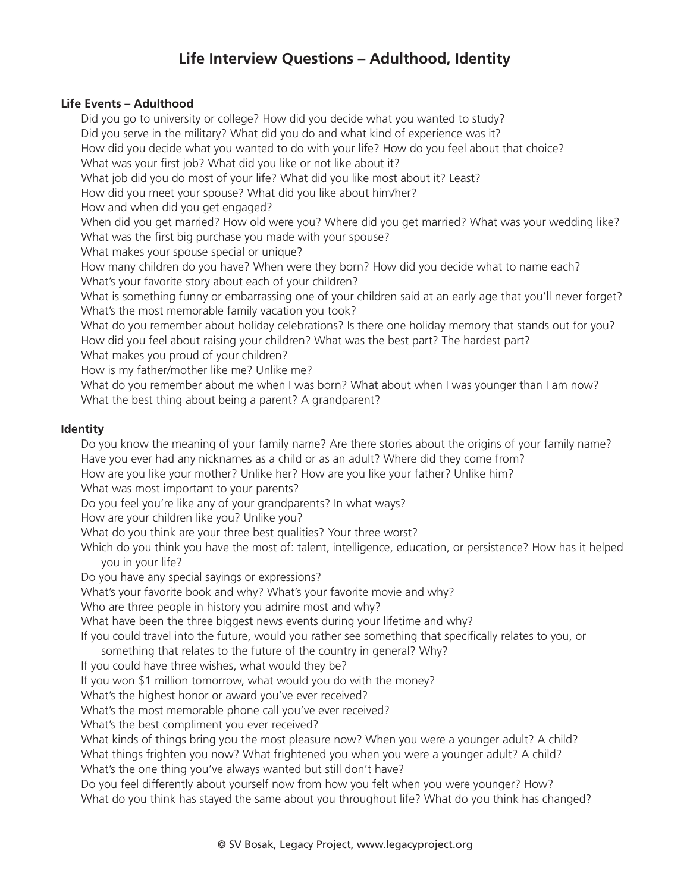# **Life Interview Questions – Adulthood, Identity**

#### **Life Events – Adulthood**

Did you go to university or college? How did you decide what you wanted to study? Did you serve in the military? What did you do and what kind of experience was it? How did you decide what you wanted to do with your life? How do you feel about that choice? What was your first job? What did you like or not like about it? What job did you do most of your life? What did you like most about it? Least? How did you meet your spouse? What did you like about him/her? How and when did you get engaged? When did you get married? How old were you? Where did you get married? What was your wedding like? What was the first big purchase you made with your spouse? What makes your spouse special or unique? How many children do you have? When were they born? How did you decide what to name each? What's your favorite story about each of your children? What is something funny or embarrassing one of your children said at an early age that you'll never forget? What's the most memorable family vacation you took? What do you remember about holiday celebrations? Is there one holiday memory that stands out for you? How did you feel about raising your children? What was the best part? The hardest part? What makes you proud of your children? How is my father/mother like me? Unlike me? What do you remember about me when I was born? What about when I was younger than I am now? What the best thing about being a parent? A grandparent?

#### **Identity**

Do you know the meaning of your family name? Are there stories about the origins of your family name? Have you ever had any nicknames as a child or as an adult? Where did they come from?

How are you like your mother? Unlike her? How are you like your father? Unlike him?

What was most important to your parents?

Do you feel you're like any of your grandparents? In what ways?

How are your children like you? Unlike you?

What do you think are your three best qualities? Your three worst?

Which do you think you have the most of: talent, intelligence, education, or persistence? How has it helped you in your life?

Do you have any special sayings or expressions?

What's your favorite book and why? What's your favorite movie and why?

Who are three people in history you admire most and why?

What have been the three biggest news events during your lifetime and why?

If you could travel into the future, would you rather see something that specifically relates to you, or

something that relates to the future of the country in general? Why?

If you could have three wishes, what would they be?

If you won \$1 million tomorrow, what would you do with the money?

What's the highest honor or award you've ever received?

What's the most memorable phone call you've ever received?

What's the best compliment you ever received?

What kinds of things bring you the most pleasure now? When you were a younger adult? A child? What things frighten you now? What frightened you when you were a younger adult? A child? What's the one thing you've always wanted but still don't have?

Do you feel differently about yourself now from how you felt when you were younger? How? What do you think has stayed the same about you throughout life? What do you think has changed?